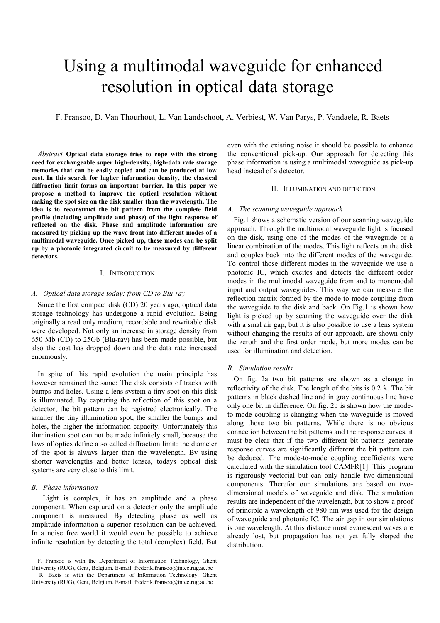# Using a multimodal waveguide for enhanced resolution in optical data storage

F. Fransoo, D. Van Thourhout, L. Van Landschoot, A. Verbiest, W. Van Parys, P. Vandaele, R. Baets

*Abstract* **Optical data storage tries to cope with the strong need for exchangeable super high-density, high-data rate storage memories that can be easily copied and can be produced at low cost. In this search for higher information density, the classical diffraction limit forms an important barrier. In this paper we propose a method to improve the optical resolution without making the spot size on the disk smaller than the wavelength. The idea is to reconstruct the bit pattern from the complete field profile (including amplitude and phase) of the light response of reflected on the disk. Phase and amplitude information are measured by picking up the wave front into different modes of a multimodal waveguide. Once picked up, these modes can be split up by a photonic integrated circuit to be measured by different detectors.**

## I. INTRODUCTION

## *A. Optical data storage today: from CD to Blu-ray*

Since the first compact disk (CD) 20 years ago, optical data storage technology has undergone a rapid evolution. Being originally a read only medium, recordable and rewritable disk were developed. Not only an increase in storage density from 650 Mb (CD) to 25Gb (Blu-ray) has been made possible, but also the cost has dropped down and the data rate increased enormously.

In spite of this rapid evolution the main principle has however remained the same: The disk consists of tracks with bumps and holes. Using a lens system a tiny spot on this disk is illuminated. By capturing the reflection of this spot on a detector, the bit pattern can be registred electronically. The smaller the tiny illumination spot, the smaller the bumps and holes, the higher the information capacity. Unfortunately this ilumination spot can not be made infinitely small, because the laws of optics define a so called diffraction limit: the diameter of the spot is always larger than the wavelength. By using shorter wavelengths and better lenses, todays optical disk systems are very close to this limit.

## *B. Phase information*

l

 Light is complex, it has an amplitude and a phase component. When captured on a detector only the amplitude component is measured. By detecting phase as well as amplitude information a superior resolution can be achieved. In a noise free world it would even be possible to achieve infinite resolution by detecting the total (complex) field. But even with the existing noise it should be possible to enhance the conventional pick-up. Our approach for detecting this phase information is using a multimodal waveguide as pick-up head instead of a detector.

## II. ILLUMINATION AND DETECTION

## *A. The scanning waveguide approach*

Fig.1 shows a schematic version of our scanning waveguide approach. Through the multimodal waveguide light is focused on the disk, using one of the modes of the waveguide or a linear combination of the modes. This light reflects on the disk and couples back into the different modes of the waveguide. To control those different modes in the waveguide we use a photonic IC, which excites and detects the different order modes in the multimodal waveguide from and to monomodal input and output waveguides. This way we can measure the reflection matrix formed by the mode to mode coupling from the waveguide to the disk and back. On Fig.1 is shown how light is picked up by scanning the waveguide over the disk with a smal air gap, but it is also possible to use a lens system without changing the results of our approach. are shown only the zeroth and the first order mode, but more modes can be used for illumination and detection.

## *B. Simulation results*

On fig. 2a two bit patterns are shown as a change in reflectivity of the disk. The length of the bits is  $0.2 \lambda$ . The bit patterns in black dashed line and in gray continuous line have only one bit in difference. On fig. 2b is shown how the modeto-mode coupling is changing when the waveguide is moved along those two bit patterns. While there is no obvious connection between the bit patterns and the response curves, it must be clear that if the two different bit patterns generate response curves are significantly different the bit pattern can be deduced. The mode-to-mode coupling coefficients were calculated with the simulation tool CAMF[R\[1\].](#page-1-0) This program is rigorously vectorial but can only handle two-dimensional components. Therefor our simulations are based on twodimensional models of waveguide and disk. The simulation results are independent of the wavelength, but to show a proof of principle a wavelength of 980 nm was used for the design of waveguide and photonic IC. The air gap in our simulations is one wavelength. At this distance most evanescent waves are already lost, but propagation has not yet fully shaped the distribution.

F. Fransoo is with the Department of Information Technology, Ghent University (RUG), Gent, Belgium. E-mail: frederik.fransoo@intec.rug.ac.be. R. Baets is with the Department of Information Technology, Ghent

University (RUG), Gent, Belgium. E-mail: frederik.fransoo@intec.rug.ac.be.